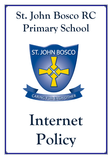# **St. John Bosco RC Primary School**



# **Internet Policy**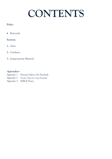# **CONTENTS**

## **Policy**

• Rationale

### **Sections**

- **1.** Aims
- **2.** Guidance
- **3.** Inappropriate Material

## **Appendices**

- *Appendix 1 Parental Advice On Facebook*
- *Appendix 2 Teacher Tips For Using Facebook*
- *Appendix 3 SMILE Poster*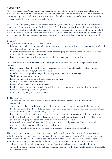#### **RATIONALE**

At St John Bosco R.C. Primary School we recognise the value of the Internet as a teaching and learning resource. The opportunities it can provide for children are many. The Internet can raise educational standards by offering pupils and teachers opportunities to search for information from a wide range of sources and to enhance the child's knowledge of the outside world.

As well as providing many benefits and new opportunities, the use of ICT, and the Internet in particular, may offer chances for misuse and abuse. At St John Bosco School we accept that this must be managed if the child is to be protected. It must also be remembered that children have access to computers and the Internet, both inside and outside school. It is therefore necessary for us to ensure and maintain appropriate use whilst they are within school, but also to encourage a responsible and mature attitude to Internet use outside school.

#### **1. AIMS**

At St. John Bosco School we believe that we must:

- Educate pupils to help them to develop a responsible and mature attitude towards Internet use, inside and outside the school environment.
- Regulate Internet access to endeavour to ensure that inappropriate sites and materials are not accessed.
- Monitor children's access to the Internet.
- Establish agreements, involving parents and pupils about acceptable use of the Internet.

We believe that a variety of strategies should be employed to promote and ensure acceptable use of the Internet.

- Establish a code of conduct on Internet use acceptable to parents, pupils, teachers and governors.
- Develop awareness of copyright laws and issues.
- Provide guidance for pupils in responding to inappropriate material or messages.
- Work in partnership with parents.
- Raise awareness of the policy with staff, pupils and parents.
- Identify acceptable levels of pupil access.
- Devise and implement supervision strategies.
- Provide guidance on the use of e-mail and websites to ensure appropriate communication by pupils.
- Review policies and procedures regularly.
- Monitor files regularly to check sites visited.

#### **2. GUIDANCE**

- Children will only be allowed access to the Internet under the supervision and direction of a teacher/adult.
- The school's guidance for the safe use of the Internet will be displayed around and in the classrooms.
- Pupils who misuse the school's Internet access must be banned from future use and their parents notified. Access to Internet sites will be randomly checked.
- If a pupil reports the receiving or accessing of an inappropriate site or message they shall report it at once to the Headteacher and ICT Subject Leader. The matter shall then be discussed with the child's parents and any other appropriate action shall be taken to ensure future access is denied.
- Parents will be informed of the school's Internet access policy and procedures. This may also help to regulate the child's access outside the school environment.
- Devices brought from home are stored securely in the school office during the school day.

The computer system is owned by the school and is made available to staff to enhance their professional activities including teaching, research, administration and management. The school's Internet access policy has been drawn up to protect all parties: the pupils, staff and the school. The school reserves the right to examine or delete any files that may be held on its computer system or monitor any Internet sites visited.

- All Internet activity should be appropriate to staff's professional activity or the pupil's education.
- Access should only be made via the authorised account and password, which should not be made available to any other person.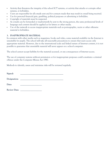- Activity that threatens the integrity of the school ICT systems, or activity that attacks or corrupts other systems, is forbidden.
- Users are responsible for all e-mails sent and for contacts made that may result in e-mail being received.
- Use for personal financial gain, gambling, political purposes or advertising is forbidden.
- Copyright of materials must be respected.
- As e-mails can be forwarded or inadvertently be sent to the wrong person, the same professional levels of language and content should be applied as for letters or other media.
- Use of the network to access inappropriate materials such as pornographic, racist or other offensive material is forbidden.

#### **3. INAPPROPRIATE MATERIAL**

In common with other media such as magazines, books and video, some material available via the Internet is unsuitable for pupils. The school will take all reasonable precautions to ensure that users access only appropriate material. However, due to the international scale and linked nature of Internet content, it is not possible to guarantee that unsuitable material will never appear on a school computer.

The school cannot accept liability for the material accessed, or any consequences of Internet access.

The use of computer systems without permission or for inappropriate purposes could constitute a criminal offence under the Computer Misuse Act 1990.

Methods to identify, assess and minimise risks will be reviewed regularly.

| Signed:          |  |
|------------------|--|
| D<br>coionation. |  |

**Designation: \_\_\_\_\_\_\_\_\_\_\_\_\_\_\_\_\_\_\_\_\_\_\_\_\_\_\_\_\_\_\_\_\_\_\_\_\_\_** 

Date:

Review Date: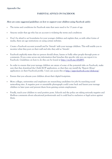#### **PARENTAL ADVICE ON FACEBOOK**

#### **Here are some suggested guidelines on how to support your children using Facebook safely:**

- The terms and conditions for Facebook state that users need to be 13 years of age.
- Anyone under that age who has an account is violating the terms and conditions
- Don't be afraid to set boundaries for your younger children and explain that, as with other forms of media, there are age restrictions on using certain websites.
- Create a Facebook account yourself and be 'friends' with your teenage children. This will enable you to monitor what they post on their wall and who they add as 'friends'.
- Facebook explicitly states that no person should abuse, harass or bully other people through posts or comments. If you come across any information that breaches this specific rule you can report it to Facebook. Guidelines on how to do this can be found at http://on.fb.me/ePpM93.
- In order to ensure that your teenage children are aware of some of the potential risks on Facebook, make sure that they download the ClickCEOP application, so that they can install the 'Report Abuse' application on their Facebook profile. Users can access this at http://apps.facebook.com/clickceop/
- Ensure that you educate your children about their digital footprints.
- More colleges, universities and employers are researching candidates for jobs by searching social networking sites. A negative post or unsuitable photograph could come back and haunt your teenage children in later years and prevent them from gaining certain employment.
- Finally, teach your children to send positive posts. Schools and the police are taking seriously negative and libellous comments about educational professionals and it could lead to exclusion or legal action against them.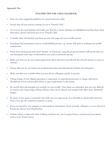#### **Appendix Two**

#### **TEACHER TIPS FOR USING FACEBOOK**

- Here are some suggested guidelines for using Facebook safely:
- Ensure that all your privacy settings are set to 'Friends Only'.
- Go to your Account Settings and make sure that the Custom Settings are highlighted and that these show that status, photos and posts are set to 'Friends Only'.
- Consider what information you have on your info page and your profile picture.
- Including brief information and an unidentifiable picture, e.g. sunset, will assist in making your profile indistinctive.
- If you have professional and social 'friends' on Facebook, using the group list feature will ensure that you can distinguish what type of information you send to particular groups.
- Make sure that you do not accept pupils (even those that have recently left the school), parent or carers as 'friends'.
- Ensure that you do not bring your professional status and educational institute into disrepute.
- Make sure that you consider what you post about colleagues, pupils or parents.
- Taking charge of your digital reputation is important, as unprofessional posts or images will lead to disciplinary action and possible failure to gain employment in the future.
- Be careful what photographs you include on your profile. Once these are uploaded, they are very difficult to remove and, using image editing software, they can be altered and merged with other more distasteful images.
- Be aware of any spam or potential virus risks sent via rogue posts. It is advisable to check with anti-virus firms if you get any suspicious requests or posts.
- If you are alerted to any negative or unscrupulous information about yourself, colleagues or your school on Facebook, inform your Headteacher.
- Further advice to help with cyber bullying incidents etc., can be gained from a professional association such as your Trade Union.